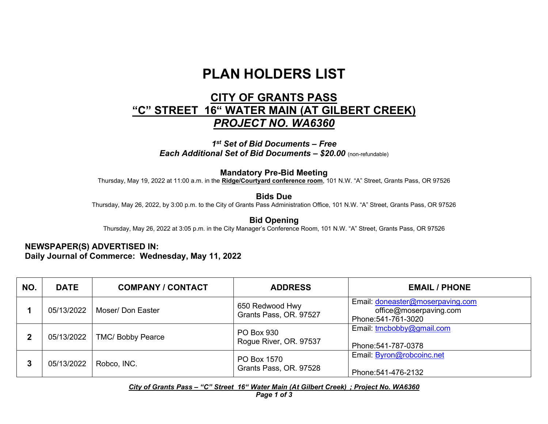## **PLAN HOLDERS LIST**

## **CITY OF GRANTS PASS "C" STREET 16" WATER MAIN (AT GILBERT CREEK)** *PROJECT NO. WA6360*

*1st Set of Bid Documents – Free Each Additional Set of Bid Documents – \$20.00* (non-refundable)

## **Mandatory Pre-Bid Meeting**

Thursday, May 19, 2022 at 11:00 a.m. in the **Ridge/Courtyard conference room**, 101 N.W. "A" Street, Grants Pass, OR 97526

**Bids Due** 

Thursday, May 26, 2022, by 3:00 p.m. to the City of Grants Pass Administration Office, 101 N.W. "A" Street, Grants Pass, OR 97526

**Bid Opening** Thursday, May 26, 2022 at 3:05 p.m. in the City Manager's Conference Room, 101 N.W. "A" Street, Grants Pass, OR 97526

**NEWSPAPER(S) ADVERTISED IN: Daily Journal of Commerce: Wednesday, May 11, 2022**

| NO. | <b>DATE</b> | <b>COMPANY / CONTACT</b> | <b>ADDRESS</b>                              | <b>EMAIL / PHONE</b>                                                              |
|-----|-------------|--------------------------|---------------------------------------------|-----------------------------------------------------------------------------------|
|     | 05/13/2022  | Moser/ Don Easter        | 650 Redwood Hwy<br>Grants Pass, OR. 97527   | Email: doneaster@moserpaving.com<br>office@moserpaving.com<br>Phone: 541-761-3020 |
|     | 05/13/2022  | <b>TMC/ Bobby Pearce</b> | <b>PO Box 930</b><br>Rogue River, OR. 97537 | Email: tmcbobby@gmail.com<br>Phone: 541-787-0378                                  |
|     | 05/13/2022  | Robco, INC.              | PO Box 1570<br>Grants Pass, OR. 97528       | Email: <b>Byron@robcoinc.net</b><br>Phone: 541-476-2132                           |

*City of Grants Pass – "C" Street 16" Water Main (At Gilbert Creek) ; Project No. WA6360*

*Page 1 of 3*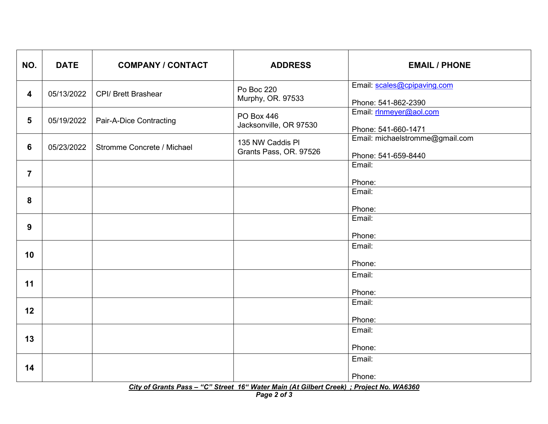| NO.                                                                                     | <b>DATE</b> | <b>COMPANY / CONTACT</b>   | <b>ADDRESS</b>                              | <b>EMAIL / PHONE</b>                                   |  |
|-----------------------------------------------------------------------------------------|-------------|----------------------------|---------------------------------------------|--------------------------------------------------------|--|
| 4                                                                                       | 05/13/2022  | <b>CPI/ Brett Brashear</b> | Po Boc 220<br>Murphy, OR. 97533             | Email: scales@cpipaving.com<br>Phone: 541-862-2390     |  |
| 5                                                                                       | 05/19/2022  | Pair-A-Dice Contracting    | <b>PO Box 446</b><br>Jacksonville, OR 97530 | Email: rinmeyer@aol.com<br>Phone: 541-660-1471         |  |
| 6                                                                                       | 05/23/2022  | Stromme Concrete / Michael | 135 NW Caddis PI<br>Grants Pass, OR. 97526  | Email: michaelstromme@gmail.com<br>Phone: 541-659-8440 |  |
| $\overline{\mathbf{7}}$                                                                 |             |                            |                                             | Email:<br>Phone:                                       |  |
| 8                                                                                       |             |                            |                                             | Email:<br>Phone:                                       |  |
| 9                                                                                       |             |                            |                                             | Email:<br>Phone:                                       |  |
| 10                                                                                      |             |                            |                                             | Email:<br>Phone:                                       |  |
| 11                                                                                      |             |                            |                                             | Email:<br>Phone:                                       |  |
| 12                                                                                      |             |                            |                                             | Email:<br>Phone:                                       |  |
| 13                                                                                      |             |                            |                                             | Email:<br>Phone:                                       |  |
| 14                                                                                      |             |                            |                                             | Email:<br>Phone:                                       |  |
| City of Grants Pass - "C" Street 16" Water Main (At Gilbert Creek) ; Project No. WA6360 |             |                            |                                             |                                                        |  |

*Page 2 of 3*